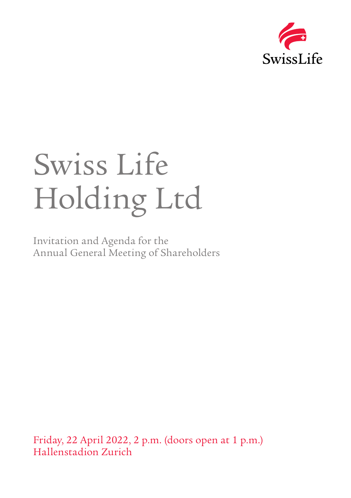

# Swiss Life Holding Ltd

Invitation and Agenda for the Annual General Meeting of Shareholders

Friday, 22 April 2022, 2 p.m. (doors open at 1 p.m.) Hallenstadion Zurich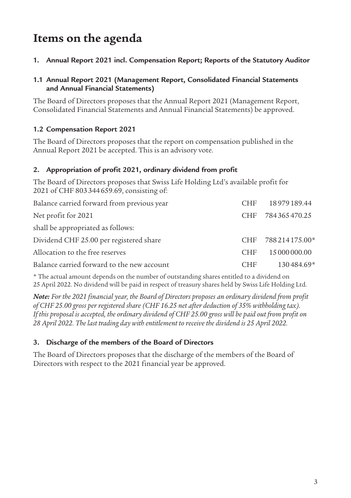# **Items on the agenda**

**1. Annual Report 2021 incl. Compensation Report; Reports of the Statutory Auditor**

# **1.1 Annual Report 2021 (Management Report, Consolidated Financial Statements and Annual Financial Statements)**

The Board of Directors proposes that the Annual Report 2021 (Management Report, Consolidated Financial Statements and Annual Financial Statements) be approved.

# **1.2 Compensation Report 2021**

The Board of Directors proposes that the report on compensation published in the Annual Report 2021 be accepted. This is an advisory vote.

# **2. Appropriation of profit 2021, ordinary dividend from profit**

The Board of Directors proposes that Swiss Life Holding Ltd's available profit for 2021 of CHF 803344659.69, consisting of:

| Balance carried forward from previous year | <b>CHF</b> | 18 979 189.44 |
|--------------------------------------------|------------|---------------|
| Net profit for 2021                        | <b>CHF</b> | 784365470.25  |
| shall be appropriated as follows:          |            |               |
| Dividend CHF 25.00 per registered share    | <b>CHF</b> | 788214175.00* |
| Allocation to the free reserves            | <b>CHF</b> | 15 000 000.00 |
| Balance carried forward to the new account | CHF.       | 130484.69*    |

\* The actual amount depends on the number of outstanding shares entitled to a dividend on 25 April 2022. No dividend will be paid in respect of treasury shares held by Swiss Life Holding Ltd.

*Note: For the 2021 financial year, the Board of Directors proposes an ordinary dividend from profit of CHF 25.00 gross per registered share (CHF 16.25 net after deduction of 35% withholding tax). If this proposal is accepted, the ordinary dividend of CHF 25.00 gross will be paid out from profit on 28 April 2022. The last trading day with entitlement to receive the dividend is 25 April 2022.*

# **3. Discharge of the members of the Board of Directors**

The Board of Directors proposes that the discharge of the members of the Board of Directors with respect to the 2021 financial year be approved.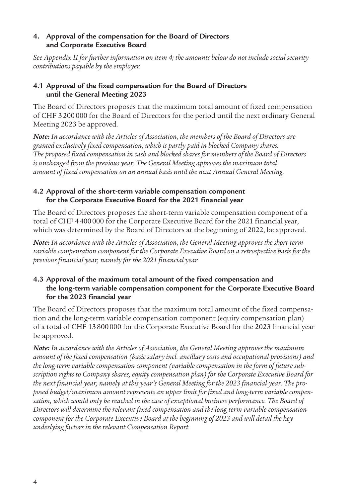# **4. Approval of the compensation for the Board of Directors and Corporate Executive Board**

*See Appendix II for further information on item 4; the amounts below do not include social security contributions payable by the employer.*

# **4.1 Approval of the fixed compensation for the Board of Directors until the General Meeting 2023**

The Board of Directors proposes that the maximum total amount of fixed compensation of CHF 3200000 for the Board of Directors for the period until the next ordinary General Meeting 2023 be approved.

*Note: In accordance with the Articles of Association, the members of the Board of Directors are granted exclusively fixed compensation, which is partly paid in blocked Company shares. The proposed fixed compensation in cash and blocked shares for members of the Board of Directors is unchanged from the previous year. The General Meeting approves the maximum total amount of fixed compensation on an annual basis until the next Annual General Meeting.*

# **4.2 Approval of the short-term variable compensation component for the Corporate Executive Board for the 2021 financial year**

The Board of Directors proposes the short-term variable compensation component of a total of CHF 4400000 for the Corporate Executive Board for the 2021 financial year, which was determined by the Board of Directors at the beginning of 2022, be approved.

*Note: In accordance with the Articles of Association, the General Meeting approves the short-term variable compensation component for the Corporate Executive Board on a retrospective basis for the previous financial year, namely for the 2021 financial year.*

# **4.3 Approval of the maximum total amount of the fixed compensation and the long-term variable compensation component for the Corporate Executive Board for the 2023 financial year**

The Board of Directors proposes that the maximum total amount of the fixed compensation and the long-term variable compensation component (equity compensation plan) of a total of CHF 13800000 for the Corporate Executive Board for the 2023 financial year be approved.

*Note: In accordance with the Articles of Association, the General Meeting approves the maximum amount of the fixed compensation (basic salary incl. ancillary costs and occupational provisions) and the long-term variable compensation component (variable compensation in the form of future subscription rights to Company shares, equity compensation plan) for the Corporate Executive Board for the next financial year, namely at this year's General Meeting for the 2023 financial year. The proposed budget/maximum amount represents an upper limit for fixed and long-term variable compensation, which would only be reached in the case of exceptional business performance. The Board of Directors will determine the relevant fixed compensation and the long-term variable compensation component for the Corporate Executive Board at the beginning of 2023 and will detail the key underlying factors in the relevant Compensation Report.*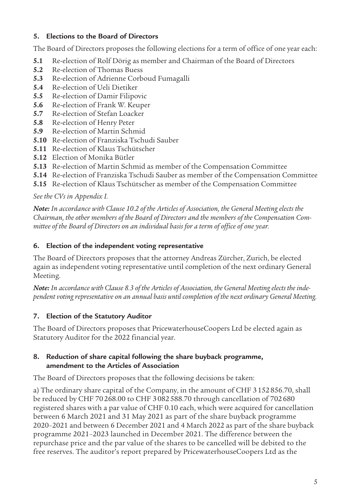# **5. Elections to the Board of Directors**

The Board of Directors proposes the following elections for a term of office of one year each:

- **5.1** Re-election of Rolf Dörig as member and Chairman of the Board of Directors
- **5.2** Re-election of Thomas Buess
- **5.3** Re-election of Adrienne Corboud Fumagalli
- **5.4** Re-election of Ueli Dietiker
- 5.5 Re-election of Damir Filipovic
- **5.6** Re-election of Frank W. Keuper
- **5.7** Re-election of Stefan Loacker
- **5.8** Re-election of Henry Peter
- **5.9** Re-election of Martin Schmid
- **5.10** Re-election of Franziska Tschudi Sauber
- **5.11** Re-election of Klaus Tschütscher
- **5.12** Election of Monika Bütler
- **5.13** Re-election of Martin Schmid as member of the Compensation Committee
- **5.14** Re-election of Franziska Tschudi Sauber as member of the Compensation Committee
- **5.15** Re-election of Klaus Tschütscher as member of the Compensation Committee

# *See the CVs in Appendix I.*

*Note: In accordance with Clause 10.2 of the Articles of Association, the General Meeting elects the Chairman, the other members of the Board of Directors and the members of the Compensation Committee of the Board of Directors on an individual basis for a term of office of one year.*

# **6. Election of the independent voting representative**

The Board of Directors proposes that the attorney Andreas Zürcher, Zurich, be elected again as independent voting representative until completion of the next ordinary General Meeting.

*Note: In accordance with Clause 8.3 of the Articles of Association, the General Meeting elects the independent voting representative on an annual basis until completion of the next ordinary General Meeting.*

# **7. Election of the Statutory Auditor**

The Board of Directors proposes that PricewaterhouseCoopers Ltd be elected again as Statutory Auditor for the 2022 financial year.

# **8. Reduction of share capital following the share buyback programme, amendment to the Articles of Association**

The Board of Directors proposes that the following decisions be taken:

a) The ordinary share capital of the Company, in the amount of CHF 3152856.70, shall be reduced by CHF 70268.00 to CHF 3082588.70 through cancellation of 702680 registered shares with a par value of CHF 0.10 each, which were acquired for cancellation between 6 March 2021 and 31 May 2021 as part of the share buyback programme 2020–2021 and between 6 December 2021 and 4 March 2022 as part of the share buyback programme 2021–2023 launched in December 2021. The difference between the repurchase price and the par value of the shares to be cancelled will be debited to the free reserves. The auditor's report prepared by PricewaterhouseCoopers Ltd as the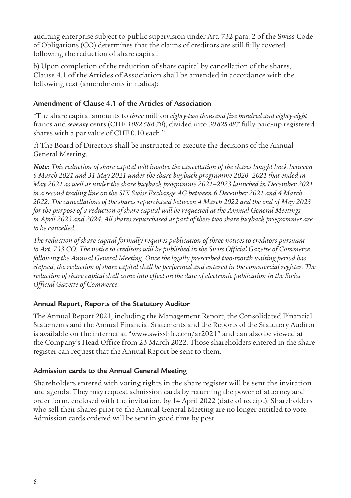auditing enterprise subject to public supervision under Art. 732 para. 2 of the Swiss Code of Obligations (CO) determines that the claims of creditors are still fully covered following the reduction of share capital.

b) Upon completion of the reduction of share capital by cancellation of the shares, Clause 4.1 of the Articles of Association shall be amended in accordance with the following text (amendments in italics):

# **Amendment of Clause 4.1 of the Articles of Association**

"The share capital amounts to *three* million *eighty-two thousand five hundred and eighty-eight* francs and *seventy* cents (CHF *3 082 588.70*), divided into *30 825 887* fully paid-up registered shares with a par value of CHF 0.10 each."

c) The Board of Directors shall be instructed to execute the decisions of the Annual General Meeting.

*Note: This reduction of share capital will involve the cancellation of the shares bought back between 6 March 2021 and 31 May 2021 under the share buyback programme 2020–2021 that ended in May 2021 as well as under the share buyback programme 2021–2023 launched in December 2021 in a second trading line on the SIX Swiss Exchange AG between 6 December 2021 and 4 March 2022. The cancellations of the shares repurchased between 4 March 2022 and the end of May 2023 for the purpose of a reduction of share capital will be requested at the Annual General Meetings in April 2023 and 2024. All shares repurchased as part of these two share buyback programmes are to be cancelled.*

*The reduction of share capital formally requires publication of three notices to creditors pursuant to Art. 733 CO. The notice to creditors will be published in the Swiss Official Gazette of Commerce following the Annual General Meeting. Once the legally prescribed two-month waiting period has elapsed, the reduction of share capital shall be performed and entered in the commercial register. The reduction of share capital shall come into effect on the date of electronic publication in the Swiss Official Gazette of Commerce.*

# **Annual Report, Reports of the Statutory Auditor**

The Annual Report 2021, including the Management Report, the Consolidated Financial Statements and the Annual Financial Statements and the Reports of the Statutory Auditor is available on the internet at "www.swisslife.com/ar2021" and can also be viewed at the Company's Head Office from 23 March 2022. Those shareholders entered in the share register can request that the Annual Report be sent to them.

## **Admission cards to the Annual General Meeting**

Shareholders entered with voting rights in the share register will be sent the invitation and agenda. They may request admission cards by returning the power of attorney and order form, enclosed with the invitation, by 14 April 2022 (date of receipt). Shareholders who sell their shares prior to the Annual General Meeting are no longer entitled to vote. Admission cards ordered will be sent in good time by post.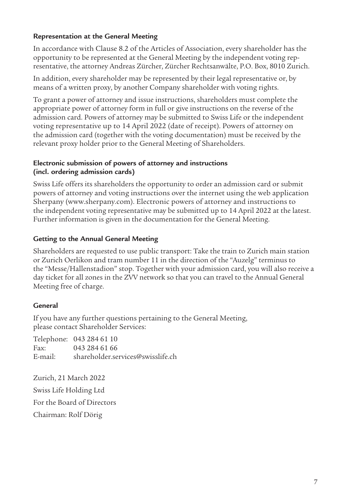# **Representation at the General Meeting**

In accordance with Clause 8.2 of the Articles of Association, every shareholder has the opportunity to be represented at the General Meeting by the independent voting representative, the attorney Andreas Zürcher, Zürcher Rechtsanwälte, P.O. Box, 8010 Zurich.

In addition, every shareholder may be represented by their legal representative or, by means of a written proxy, by another Company shareholder with voting rights.

To grant a power of attorney and issue instructions, shareholders must complete the appropriate power of attorney form in full or give instructions on the reverse of the admission card. Powers of attorney may be submitted to Swiss Life or the independent voting representative up to 14 April 2022 (date of receipt). Powers of attorney on the admission card (together with the voting documentation) must be received by the relevant proxy holder prior to the General Meeting of Shareholders.

# **Electronic submission of powers of attorney and instructions (incl. ordering admission cards)**

Swiss Life offers its shareholders the opportunity to order an admission card or submit powers of attorney and voting instructions over the internet using the web application Sherpany (www.sherpany.com). Electronic powers of attorney and instructions to the independent voting representative may be submitted up to 14 April 2022 at the latest. Further information is given in the documentation for the General Meeting.

# **Getting to the Annual General Meeting**

Shareholders are requested to use public transport: Take the train to Zurich main station or Zurich Oerlikon and tram number 11 in the direction of the "Auzelg" terminus to the "Messe/Hallenstadion" stop. Together with your admission card, you will also receive a day ticket for all zones in the ZVV network so that you can travel to the Annual General Meeting free of charge.

# **General**

If you have any further questions pertaining to the General Meeting, please contact Shareholder Services:

Telephone: 043 284 61 10 Fax: 043 284 61 66 E-mail: shareholder.services@swisslife.ch

Zurich, 21 March 2022 Swiss Life Holding Ltd For the Board of Directors Chairman: Rolf Dörig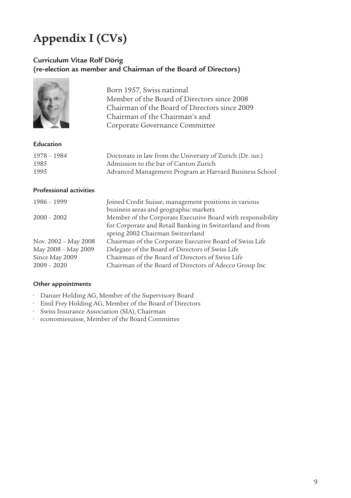# **Appendix I (CVs)**

## **Curriculum Vitae Rolf Dörig (re-election as member and Chairman of the Board of Directors)**



Born 1957, Swiss national Member of the Board of Directors since 2008 Chairman of the Board of Directors since 2009 Chairman of the Chairman's and Corporate Governance Committee

#### **Education**

| 1978 – 1984 | Doctorate in law from the University of Zurich (Dr. iur.) |
|-------------|-----------------------------------------------------------|
| 1985        | Admission to the bar of Canton Zurich                     |
| 1995        | Advanced Management Program at Harvard Business School    |

# **Professional activities**

| Joined Credit Suisse, management positions in various       |
|-------------------------------------------------------------|
| business areas and geographic markets                       |
| Member of the Corporate Executive Board with responsibility |
| for Corporate and Retail Banking in Switzerland and from    |
| spring 2002 Chairman Switzerland                            |
| Chairman of the Corporate Executive Board of Swiss Life     |
| Delegate of the Board of Directors of Swiss Life            |
| Chairman of the Board of Directors of Swiss Life            |
| Chairman of the Board of Directors of Adecco Group Inc      |
|                                                             |

- Danzer Holding AG, Member of the Supervisory Board
- Emil Frey Holding AG, Member of the Board of Directors
- Swiss Insurance Association (SIA), Chairman
- economiesuisse, Member of the Board Committee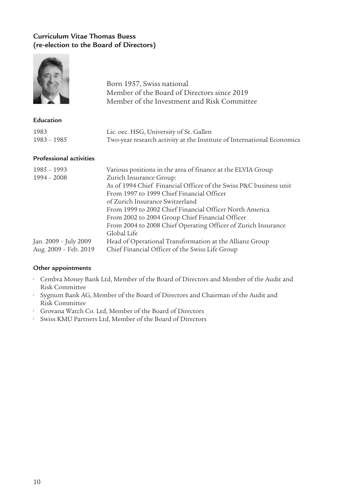# **Curriculum Vitae Thomas Buess (re-election to the Board of Directors)**

**Contract of Contract of Contract of Contract of Contract of Contract of Contract of Contract of Contract of Contract of Contract of Contract of Contract of Contract of Contract of Contract of Contract of Contract of Contr** 

|                                | Born 1957, Swiss national<br>Member of the Board of Directors since 2019<br>Member of the Investment and Risk Committee |
|--------------------------------|-------------------------------------------------------------------------------------------------------------------------|
| Education                      |                                                                                                                         |
| 1983                           | Lic. oec. HSG, University of St. Gallen                                                                                 |
| 1983 - 1985                    | Two-year research activity at the Institute of International Economics                                                  |
| <b>Professional activities</b> |                                                                                                                         |
| 1985 - 1993                    | Various positions in the area of finance at the ELVIA Group                                                             |
| $1994 - 2008$                  | Zurich Insurance Group:                                                                                                 |
|                                | As of 1994 Chief Financial Officer of the Swiss P&C business unit<br>From 1997 to 1999 Chief Financial Officer          |
|                                | of Zurich Insurance Switzerland                                                                                         |
|                                | From 1999 to 2002 Chief Financial Officer North America                                                                 |
|                                | From 2002 to 2004 Group Chief Financial Officer                                                                         |
|                                | From 2004 to 2008 Chief Operating Officer of Zurich Insurance                                                           |
|                                | Global Life                                                                                                             |
| Jan. 2009 - July 2009          | Head of Operational Transformation at the Allianz Group                                                                 |
| Aug. 2009 - Feb. 2019          | Chief Financial Officer of the Swiss Life Group                                                                         |

- Cembra Money Bank Ltd, Member of the Board of Directors and Member of the Audit and Risk Committee
- Sygnum Bank AG, Member of the Board of Directors and Chairman of the Audit and Risk Committee
- Grovana Watch Co. Ltd, Member of the Board of Directors
- Swiss KMU Partners Ltd, Member of the Board of Directors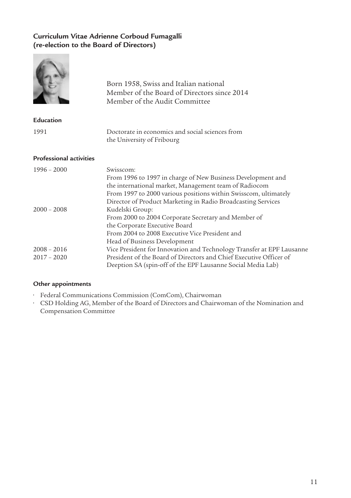# **Curriculum Vitae Adrienne Corboud Fumagalli (re-election to the Board of Directors)**

|                                | Born 1958, Swiss and Italian national<br>Member of the Board of Directors since 2014<br>Member of the Audit Committee                                                                                                                                                            |
|--------------------------------|----------------------------------------------------------------------------------------------------------------------------------------------------------------------------------------------------------------------------------------------------------------------------------|
| Education                      |                                                                                                                                                                                                                                                                                  |
| 1991                           | Doctorate in economics and social sciences from<br>the University of Fribourg                                                                                                                                                                                                    |
| <b>Professional activities</b> |                                                                                                                                                                                                                                                                                  |
| $1996 - 2000$                  | Swisscom <sup>.</sup><br>From 1996 to 1997 in charge of New Business Development and<br>the international market, Management team of Radiocom<br>From 1997 to 2000 various positions within Swisscom, ultimately<br>Director of Product Marketing in Radio Broadcasting Services |
| $2000 - 2008$                  | Kudelski Group:<br>From 2000 to 2004 Corporate Secretary and Member of<br>the Corporate Executive Board<br>From 2004 to 2008 Executive Vice President and<br>Head of Business Development                                                                                        |
| $2008 - 2016$<br>$2017 - 2020$ | Vice President for Innovation and Technology Transfer at EPF Lausanne<br>President of the Board of Directors and Chief Executive Officer of<br>Deeption SA (spin-off of the EPF Lausanne Social Media Lab)                                                                       |

#### **Other appointments**

**Contract** 

- Federal Communications Commission (ComCom), Chairwoman
- CSD Holding AG, Member of the Board of Directors and Chairwoman of the Nomination and Compensation Committee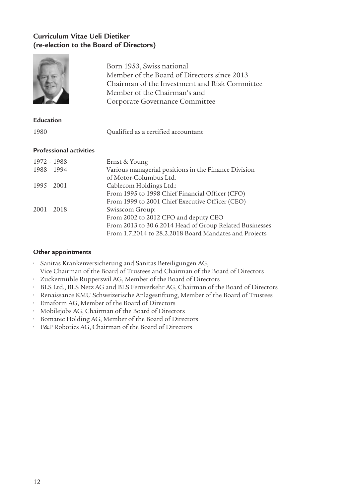# **Curriculum Vitae Ueli Dietiker (re-election to the Board of Directors)**

**Contract Contract Contract** 

|                                | Born 1953, Swiss national<br>Member of the Board of Directors since 2013<br>Chairman of the Investment and Risk Committee<br>Member of the Chairman's and<br>Corporate Governance Committee |
|--------------------------------|---------------------------------------------------------------------------------------------------------------------------------------------------------------------------------------------|
| Education                      |                                                                                                                                                                                             |
| 1980                           | Qualified as a certified accountant                                                                                                                                                         |
| <b>Professional activities</b> |                                                                                                                                                                                             |
| 1972 - 1988                    | Ernst & Young                                                                                                                                                                               |
| 1988 - 1994                    | Various managerial positions in the Finance Division<br>of Motor-Columbus Ltd.                                                                                                              |
| $1995 - 2001$                  | Cablecom Holdings Ltd.:                                                                                                                                                                     |
|                                | From 1995 to 1998 Chief Financial Officer (CFO)                                                                                                                                             |
|                                | From 1999 to 2001 Chief Executive Officer (CEO)                                                                                                                                             |
| $2001 - 2018$                  | Swisscom Group:                                                                                                                                                                             |
|                                | From 2002 to 2012 CFO and deputy CEO<br>From 2013 to 30.6.2014 Head of Group Related Businesses                                                                                             |
|                                | From 1.7.2014 to 28.2.2018 Board Mandates and Projects                                                                                                                                      |
|                                |                                                                                                                                                                                             |

- Sanitas Krankenversicherung and Sanitas Beteiligungen AG, Vice Chairman of the Board of Trustees and Chairman of the Board of Directors
- Zuckermühle Rupperswil AG, Member of the Board of Directors
- BLS Ltd., BLS Netz AG and BLS Fernverkehr AG, Chairman of the Board of Directors
- Renaissance KMU Schweizerische Anlagestiftung, Member of the Board of Trustees
- Emaform AG, Member of the Board of Directors
- Mobilejobs AG, Chairman of the Board of Directors
- Bomatec Holding AG, Member of the Board of Directors
- F&P Robotics AG, Chairman of the Board of Directors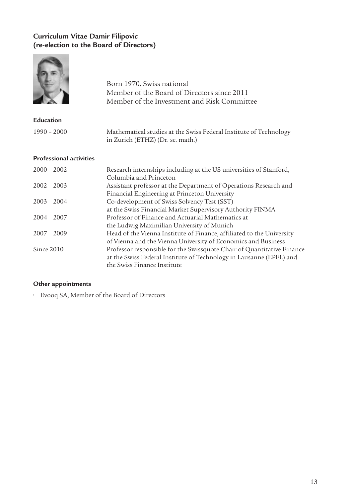# **Curriculum Vitae Damir Filipovic (re-election to the Board of Directors)**



#### **Other appointments**

• Evooq SA, Member of the Board of Directors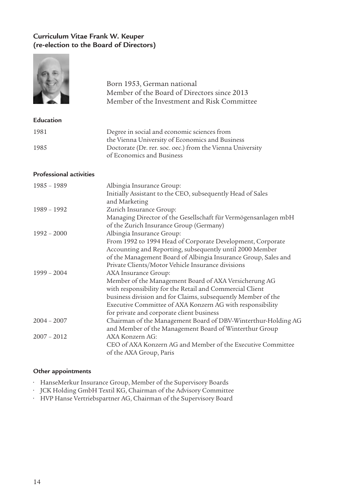# **Curriculum Vitae Frank W. Keuper (re-election to the Board of Directors)**

|                                | Born 1953, German national<br>Member of the Board of Directors since 2013<br>Member of the Investment and Risk Committee                                                                                                                                                                                            |
|--------------------------------|---------------------------------------------------------------------------------------------------------------------------------------------------------------------------------------------------------------------------------------------------------------------------------------------------------------------|
| Education                      |                                                                                                                                                                                                                                                                                                                     |
| 1981                           | Degree in social and economic sciences from<br>the Vienna University of Economics and Business                                                                                                                                                                                                                      |
| 1985                           | Doctorate (Dr. rer. soc. oec.) from the Vienna University<br>of Economics and Business                                                                                                                                                                                                                              |
| <b>Professional activities</b> |                                                                                                                                                                                                                                                                                                                     |
| 1985 - 1989                    | Albingia Insurance Group:<br>Initially Assistant to the CEO, subsequently Head of Sales<br>and Marketing                                                                                                                                                                                                            |
| 1989 - 1992                    | Zurich Insurance Group:<br>Managing Director of the Gesellschaft für Vermögensanlagen mbH<br>of the Zurich Insurance Group (Germany)                                                                                                                                                                                |
| $1992 - 2000$                  | Albingia Insurance Group:<br>From 1992 to 1994 Head of Corporate Development, Corporate<br>Accounting and Reporting, subsequently until 2000 Member<br>of the Management Board of Albingia Insurance Group, Sales and<br>Private Clients/Motor Vehicle Insurance divisions                                          |
| $1999 - 2004$                  | AXA Insurance Group:<br>Member of the Management Board of AXA Versicherung AG<br>with responsibility for the Retail and Commercial Client<br>business division and for Claims, subsequently Member of the<br>Executive Committee of AXA Konzern AG with responsibility<br>for private and corporate client business |
| $2004 - 2007$                  | Chairman of the Management Board of DBV-Winterthur-Holding AG<br>and Member of the Management Board of Winterthur Group                                                                                                                                                                                             |
| $2007 - 2012$                  | AXA Konzern AG:<br>CEO of AXA Konzern AG and Member of the Executive Committee<br>of the AXA Group, Paris                                                                                                                                                                                                           |

- HanseMerkur Insurance Group, Member of the Supervisory Boards
- JCK Holding GmbH Textil KG, Chairman of the Advisory Committee
- HVP Hanse Vertriebspartner AG, Chairman of the Supervisory Board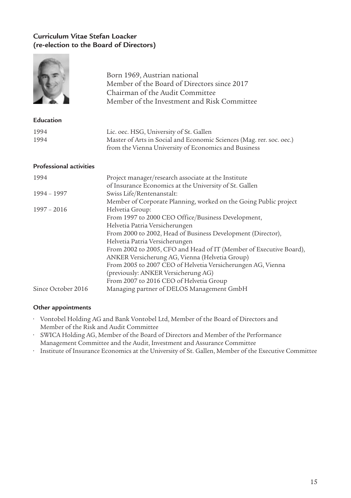# **Curriculum Vitae Stefan Loacker (re-election to the Board of Directors)**

 $\sim$ 

|                                | Born 1969, Austrian national<br>Member of the Board of Directors since 2017<br>Chairman of the Audit Committee<br>Member of the Investment and Risk Committee                                                                                                                                                                                                                                                                                                                     |
|--------------------------------|-----------------------------------------------------------------------------------------------------------------------------------------------------------------------------------------------------------------------------------------------------------------------------------------------------------------------------------------------------------------------------------------------------------------------------------------------------------------------------------|
| <b>Education</b>               |                                                                                                                                                                                                                                                                                                                                                                                                                                                                                   |
| 1994<br>1994                   | Lic. oec. HSG, University of St. Gallen<br>Master of Arts in Social and Economic Sciences (Mag. rer. soc. oec.)<br>from the Vienna University of Economics and Business                                                                                                                                                                                                                                                                                                           |
| <b>Professional activities</b> |                                                                                                                                                                                                                                                                                                                                                                                                                                                                                   |
| 1994                           | Project manager/research associate at the Institute<br>of Insurance Economics at the University of St. Gallen                                                                                                                                                                                                                                                                                                                                                                     |
| 1994 - 1997                    | Swiss Life/Rentenanstalt:<br>Member of Corporate Planning, worked on the Going Public project                                                                                                                                                                                                                                                                                                                                                                                     |
| $1997 - 2016$                  | Helvetia Group:<br>From 1997 to 2000 CEO Office/Business Development,<br>Helvetia Patria Versicherungen<br>From 2000 to 2002, Head of Business Development (Director),<br>Helvetia Patria Versicherungen<br>From 2002 to 2005, CFO and Head of IT (Member of Executive Board),<br>ANKER Versicherung AG, Vienna (Helvetia Group)<br>From 2005 to 2007 CEO of Helvetia Versicherungen AG, Vienna<br>(previously: ANKER Versicherung AG)<br>From 2007 to 2016 CEO of Helvetia Group |
| Since October 2016             | Managing partner of DELOS Management GmbH                                                                                                                                                                                                                                                                                                                                                                                                                                         |

- Vontobel Holding AG and Bank Vontobel Ltd, Member of the Board of Directors and Member of the Risk and Audit Committee
- SWICA Holding AG, Member of the Board of Directors and Member of the Performance Management Committee and the Audit, Investment and Assurance Committee
- Institute of Insurance Economics at the University of St. Gallen, Member of the Executive Committee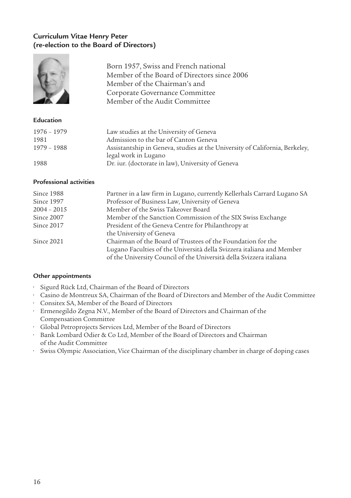# **Curriculum Vitae Henry Peter (re-election to the Board of Directors)**

| Born 1957, Swiss and French national<br>Member of the Board of Directors since 2006<br>Member of the Chairman's and |
|---------------------------------------------------------------------------------------------------------------------|
| Corporate Governance Committee<br>Member of the Audit Committee                                                     |

#### **Education**

| 1976 – 1979 | Law studies at the University of Geneva                                     |
|-------------|-----------------------------------------------------------------------------|
| 1981        | Admission to the bar of Canton Geneva                                       |
| 1979 - 1988 | Assistantship in Geneva, studies at the University of California, Berkeley, |
|             | legal work in Lugano                                                        |
| 1988        | Dr. iur. (doctorate in law), University of Geneva                           |

#### **Professional activities**

| Since 1988    | Partner in a law firm in Lugano, currently Kellerhals Carrard Lugano SA |
|---------------|-------------------------------------------------------------------------|
| Since 1997    | Professor of Business Law, University of Geneva                         |
| $2004 - 2015$ | Member of the Swiss Takeover Board                                      |
| Since 2007    | Member of the Sanction Commission of the SIX Swiss Exchange             |
| Since 2017    | President of the Geneva Centre for Philanthropy at                      |
|               | the University of Geneva                                                |
| Since 2021    | Chairman of the Board of Trustees of the Foundation for the             |
|               | Lugano Faculties of the Università della Svizzera italiana and Member   |
|               | of the University Council of the Università della Svizzera italiana     |

- Sigurd Rück Ltd, Chairman of the Board of Directors
- Casino de Montreux SA, Chairman of the Board of Directors and Member of the Audit Committee
- Consitex SA, Member of the Board of Directors
- Ermenegildo Zegna N.V., Member of the Board of Directors and Chairman of the Compensation Committee
- Global Petroprojects Services Ltd, Member of the Board of Directors
- Bank Lombard Odier & Co Ltd, Member of the Board of Directors and Chairman of the Audit Committee
- Swiss Olympic Association, Vice Chairman of the disciplinary chamber in charge of doping cases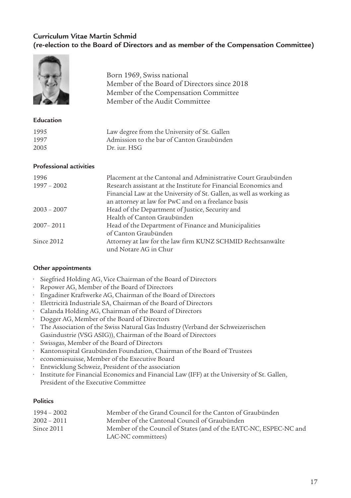# **Curriculum Vitae Martin Schmid (re-election to the Board of Directors and as member of the Compensation Committee)**

| Born 1969, Swiss national                   |
|---------------------------------------------|
| Member of the Board of Directors since 2018 |
| Member of the Compensation Committee        |
| Member of the Audit Committee               |

#### **Education**

| 1995 | Law degree from the University of St. Gallen |
|------|----------------------------------------------|
| 1997 | Admission to the bar of Canton Graubünden    |
| 2005 | Dr. jur. HSG                                 |

#### **Professional activities**

| 1996          | Placement at the Cantonal and Administrative Court Graubünden        |
|---------------|----------------------------------------------------------------------|
| $1997 - 2002$ | Research assistant at the Institute for Financial Economics and      |
|               | Financial Law at the University of St. Gallen, as well as working as |
|               | an attorney at law for PwC and on a freelance basis                  |
| $2003 - 2007$ | Head of the Department of Justice, Security and                      |
|               | Health of Canton Graubünden                                          |
| 2007 - 2011   | Head of the Department of Finance and Municipalities                 |
|               | of Canton Graubünden                                                 |
| Since 2012    | Attorney at law for the law firm KUNZ SCHMID Rechtsanwälte           |
|               | und Notare AG in Chur                                                |
|               |                                                                      |

#### **Other appointments**

- Siegfried Holding AG, Vice Chairman of the Board of Directors
- Repower AG, Member of the Board of Directors
- Engadiner Kraftwerke AG, Chairman of the Board of Directors
- Elettricità Industriale SA, Chairman of the Board of Directors
- Calanda Holding AG, Chairman of the Board of Directors
- Dogger AG, Member of the Board of Directors
- The Association of the Swiss Natural Gas Industry (Verband der Schweizerischen Gasindustrie (VSG ASIG)), Chairman of the Board of Directors
- Swissgas, Member of the Board of Directors
- Kantonsspital Graubünden Foundation, Chairman of the Board of Trustees
- economiesuisse, Member of the Executive Board
- Entwicklung Schweiz, President of the association
- Institute for Financial Economics and Financial Law (IFF) at the University of St. Gallen, President of the Executive Committee

### **Politics**

| 1994 – 2002   | Member of the Grand Council for the Canton of Graubünden          |
|---------------|-------------------------------------------------------------------|
| $2002 - 2011$ | Member of the Cantonal Council of Graubünden                      |
| Since 2011    | Member of the Council of States (and of the EATC-NC, ESPEC-NC and |
|               | LAC-NC committees)                                                |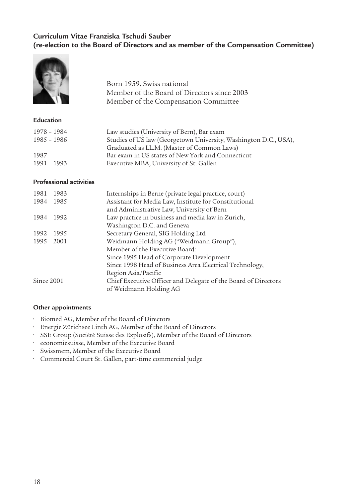# **Curriculum Vitae Franziska Tschudi Sauber (re-election to the Board of Directors and as member of the Compensation Committee)**



Born 1959, Swiss national Member of the Board of Directors since 2003 Member of the Compensation Committee

#### **Education**

| 1978 - 1984   | Law studies (University of Bern), Bar exam                       |
|---------------|------------------------------------------------------------------|
| $1985 - 1986$ | Studies of US law (Georgetown University, Washington D.C., USA), |
|               | Graduated as LL.M. (Master of Common Laws)                       |
| 1987          | Bar exam in US states of New York and Connecticut                |
| 1991 - 1993   | Executive MBA, University of St. Gallen                          |

#### **Professional activities**

| 1981 - 1983   | Internships in Berne (private legal practice, court)           |
|---------------|----------------------------------------------------------------|
| 1984 - 1985   | Assistant for Media Law, Institute for Constitutional          |
|               | and Administrative Law, University of Bern                     |
| 1984 - 1992   | Law practice in business and media law in Zurich,              |
|               | Washington D.C. and Geneva                                     |
| 1992 - 1995   | Secretary General, SIG Holding Ltd                             |
| $1995 - 2001$ | Weidmann Holding AG ("Weidmann Group"),                        |
|               | Member of the Executive Board:                                 |
|               | Since 1995 Head of Corporate Development                       |
|               | Since 1998 Head of Business Area Electrical Technology,        |
|               | Region Asia/Pacific                                            |
| Since 2001    | Chief Executive Officer and Delegate of the Board of Directors |
|               | of Weidmann Holding AG                                         |

- Biomed AG, Member of the Board of Directors
- Energie Zürichsee Linth AG, Member of the Board of Directors
- SSE Group (Société Suisse des Explosifs), Member of the Board of Directors
- economiesuisse, Member of the Executive Board
- Swissmem, Member of the Executive Board
- Commercial Court St. Gallen, part-time commercial judge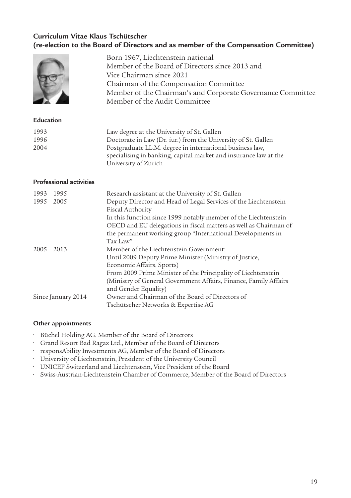# **Curriculum Vitae Klaus Tschütscher (re-election to the Board of Directors and as member of the Compensation Committee)**

|                                | Born 1967, Liechtenstein national<br>Member of the Board of Directors since 2013 and<br>Vice Chairman since 2021<br>Chairman of the Compensation Committee<br>Member of the Chairman's and Corporate Governance Committee<br>Member of the Audit Committee                                                                                                 |
|--------------------------------|------------------------------------------------------------------------------------------------------------------------------------------------------------------------------------------------------------------------------------------------------------------------------------------------------------------------------------------------------------|
| Education                      |                                                                                                                                                                                                                                                                                                                                                            |
| 1993<br>1996<br>2004           | Law degree at the University of St. Gallen<br>Doctorate in Law (Dr. iur.) from the University of St. Gallen<br>Postgraduate LL.M. degree in international business law,<br>specialising in banking, capital market and insurance law at the<br>University of Zurich                                                                                        |
| <b>Professional activities</b> |                                                                                                                                                                                                                                                                                                                                                            |
| 1993 - 1995<br>$1995 - 2005$   | Research assistant at the University of St. Gallen<br>Deputy Director and Head of Legal Services of the Liechtenstein<br>Fiscal Authority<br>In this function since 1999 notably member of the Liechtenstein<br>OECD and EU delegations in fiscal matters as well as Chairman of<br>the permanent working group "International Developments in<br>Tax Law" |
| $2005 - 2013$                  | Member of the Liechtenstein Government:<br>Until 2009 Deputy Prime Minister (Ministry of Justice,<br>Economic Affairs, Sports)<br>From 2009 Prime Minister of the Principality of Liechtenstein<br>(Ministry of General Government Affairs, Finance, Family Affairs<br>and Gender Equality)                                                                |
| Since January 2014             | Owner and Chairman of the Board of Directors of<br>Tschütscher Networks & Expertise AG                                                                                                                                                                                                                                                                     |

- Büchel Holding AG, Member of the Board of Directors
- Grand Resort Bad Ragaz Ltd., Member of the Board of Directors
- responsAbility Investments AG, Member of the Board of Directors
- University of Liechtenstein, President of the University Council
- UNICEF Switzerland and Liechtenstein, Vice President of the Board
- Swiss-Austrian-Liechtenstein Chamber of Commerce, Member of the Board of Directors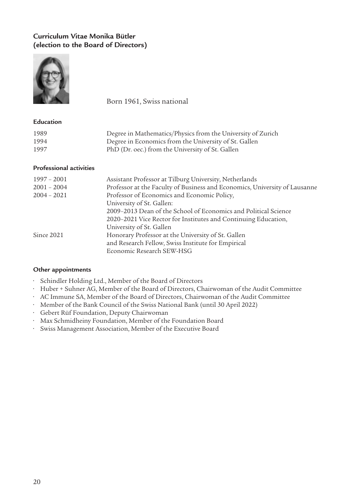# **Curriculum Vitae Monika Bütler (election to the Board of Directors)**



Born 1961, Swiss national

#### **Education**

| 1989 | Degree in Mathematics/Physics from the University of Zurich |
|------|-------------------------------------------------------------|
| 1994 | Degree in Economics from the University of St. Gallen       |
| 1997 | PhD (Dr. oec.) from the University of St. Gallen            |

#### **Professional activities**

| $1997 - 2001$ | Assistant Professor at Tilburg University, Netherlands                     |
|---------------|----------------------------------------------------------------------------|
| $2001 - 2004$ | Professor at the Faculty of Business and Economics, University of Lausanne |
| $2004 - 2021$ | Professor of Economics and Economic Policy,                                |
|               | University of St. Gallen:                                                  |
|               | 2009–2013 Dean of the School of Economics and Political Science            |
|               | 2020–2021 Vice Rector for Institutes and Continuing Education,             |
|               | University of St. Gallen                                                   |
| Since 2021    | Honorary Professor at the University of St. Gallen                         |
|               | and Research Fellow, Swiss Institute for Empirical                         |
|               | Economic Research SEW-HSG                                                  |

- Schindler Holding Ltd., Member of the Board of Directors
- Huber + Suhner AG, Member of the Board of Directors, Chairwoman of the Audit Committee
- AC Immune SA, Member of the Board of Directors, Chairwoman of the Audit Committee
- Member of the Bank Council of the Swiss National Bank (until 30 April 2022)
- Gebert Rüf Foundation, Deputy Chairwoman
- Max Schmidheiny Foundation, Member of the Foundation Board
- Swiss Management Association, Member of the Executive Board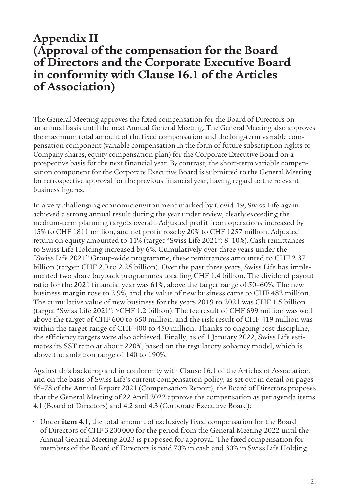# **Appendix II (Approval of the compensation for the Board of Directors and the Corporate Executive Board in conformity with Clause 16.1 of the Articles of Association)**

The General Meeting approves the fixed compensation for the Board of Directors on an annual basis until the next Annual General Meeting. The General Meeting also approves the maximum total amount of the fixed compensation and the long-term variable compensation component (variable compensation in the form of future subscription rights to Company shares, equity compensation plan) for the Corporate Executive Board on a prospective basis for the next financial year. By contrast, the short-term variable compensation component for the Corporate Executive Board is submitted to the General Meeting for retrospective approval for the previous financial year, having regard to the relevant business figures.

In a very challenging economic environment marked by Covid-19, Swiss Life again achieved a strong annual result during the year under review, clearly exceeding the medium-term planning targets overall. Adjusted profit from operations increased by 15% to CHF 1811 million, and net profit rose by 20% to CHF 1257 million. Adjusted return on equity amounted to 11% (target "Swiss Life 2021": 8–10%). Cash remittances to Swiss Life Holding increased by 6%. Cumulatively over three years under the "Swiss Life 2021" Group-wide programme, these remittances amounted to CHF 2.37 billion (target: CHF 2.0 to 2.25 billion). Over the past three years, Swiss Life has implemented two share buyback programmes totalling CHF 1.4 billion. The dividend payout ratio for the 2021 financial year was 61%, above the target range of 50–60%. The new business margin rose to 2.9%, and the value of new business came to CHF 482 million. The cumulative value of new business for the years 2019 to 2021 was CHF 1.5 billion (target "Swiss Life 2021": >CHF 1.2 billion). The fee result of CHF 699 million was well above the target of CHF 600 to 650 million, and the risk result of CHF 419 million was within the target range of CHF 400 to 450 million. Thanks to ongoing cost discipline, the efficiency targets were also achieved. Finally, as of 1 January 2022, Swiss Life estimates its SST ratio at about 220%, based on the regulatory solvency model, which is above the ambition range of 140 to 190%.

Against this backdrop and in conformity with Clause 16.1 of the Articles of Association, and on the basis of Swiss Life's current compensation policy, as set out in detail on pages 56–78 of the Annual Report 2021 (Compensation Report), the Board of Directors proposes that the General Meeting of 22 April 2022 approve the compensation as per agenda items 4.1 (Board of Directors) and 4.2 and 4.3 (Corporate Executive Board):

• Under **item 4.1,** the total amount of exclusively fixed compensation for the Board of Directors of CHF 3200000 for the period from the General Meeting 2022 until the Annual General Meeting 2023 is proposed for approval. The fixed compensation for members of the Board of Directors is paid 70% in cash and 30% in Swiss Life Holding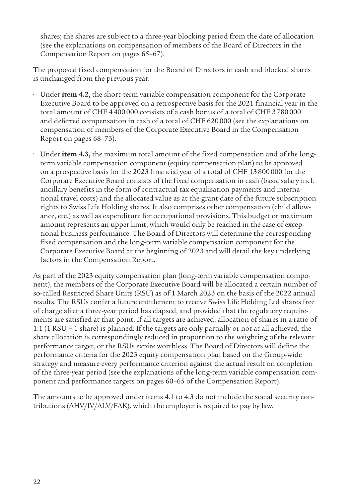shares; the shares are subject to a three-year blocking period from the date of allocation (see the explanations on compensation of members of the Board of Directors in the Compensation Report on pages 65–67).

The proposed fixed compensation for the Board of Directors in cash and blocked shares is unchanged from the previous year.

- Under **item 4.2,** the short-term variable compensation component for the Corporate Executive Board to be approved on a retrospective basis for the 2021 financial year in the total amount of CHF 4400000 consists of a cash bonus of a total of CHF 3780000 and deferred compensation in cash of a total of CHF 620000 (see the explanations on compensation of members of the Corporate Executive Board in the Compensation Report on pages 68–73).
- Under **item 4.3,** the maximum total amount of the fixed compensation and of the longterm variable compensation component (equity compensation plan) to be approved on a prospective basis for the 2023 financial year of a total of CHF 13800000 for the Corporate Executive Board consists of the fixed compensation in cash (basic salary incl. ancillary benefits in the form of contractual tax equalisation payments and international travel costs) and the allocated value as at the grant date of the future subscription rights to Swiss Life Holding shares. It also comprises other compensation (child allowance, etc.) as well as expenditure for occupational provisions. This budget or maximum amount represents an upper limit, which would only be reached in the case of exceptional business performance. The Board of Directors will determine the corresponding fixed compensation and the long-term variable compensation component for the Corporate Executive Board at the beginning of 2023 and will detail the key underlying factors in the Compensation Report.

As part of the 2023 equity compensation plan (long-term variable compensation component), the members of the Corporate Executive Board will be allocated a certain number of so-called Restricted Share Units (RSU) as of 1 March 2023 on the basis of the 2022 annual results. The RSUs confer a future entitlement to receive Swiss Life Holding Ltd shares free of charge after a three-year period has elapsed, and provided that the regulatory requirements are satisfied at that point. If all targets are achieved, allocation of shares in a ratio of 1:1 (1 RSU = 1 share) is planned. If the targets are only partially or not at all achieved, the share allocation is correspondingly reduced in proportion to the weighting of the relevant performance target, or the RSUs expire worthless. The Board of Directors will define the performance criteria for the 2023 equity compensation plan based on the Group-wide strategy and measure every performance criterion against the actual result on completion of the three-year period (see the explanations of the long-term variable compensation component and performance targets on pages 60–65 of the Compensation Report).

The amounts to be approved under items 4.1 to 4.3 do not include the social security contributions (AHV/IV/ALV/FAK), which the employer is required to pay by law.